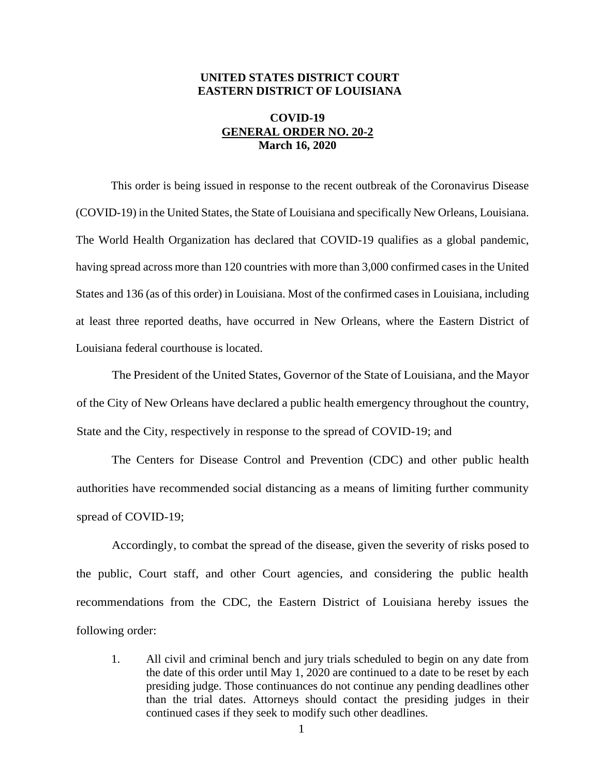## **UNITED STATES DISTRICT COURT EASTERN DISTRICT OF LOUISIANA**

## **COVID-19 GENERAL ORDER NO. 20-2 March 16, 2020**

This order is being issued in response to the recent outbreak of the Coronavirus Disease (COVID-19) in the United States, the State of Louisiana and specifically New Orleans, Louisiana. The World Health Organization has declared that COVID-19 qualifies as a global pandemic, having spread across more than 120 countries with more than 3,000 confirmed cases in the United States and 136 (as of this order) in Louisiana. Most of the confirmed cases in Louisiana, including at least three reported deaths, have occurred in New Orleans, where the Eastern District of Louisiana federal courthouse is located.

The President of the United States, Governor of the State of Louisiana, and the Mayor of the City of New Orleans have declared a public health emergency throughout the country, State and the City, respectively in response to the spread of COVID-19; and

The Centers for Disease Control and Prevention (CDC) and other public health authorities have recommended social distancing as a means of limiting further community spread of COVID-19;

Accordingly, to combat the spread of the disease, given the severity of risks posed to the public, Court staff, and other Court agencies, and considering the public health recommendations from the CDC, the Eastern District of Louisiana hereby issues the following order:

1. All civil and criminal bench and jury trials scheduled to begin on any date from the date of this order until May 1, 2020 are continued to a date to be reset by each presiding judge. Those continuances do not continue any pending deadlines other than the trial dates. Attorneys should contact the presiding judges in their continued cases if they seek to modify such other deadlines.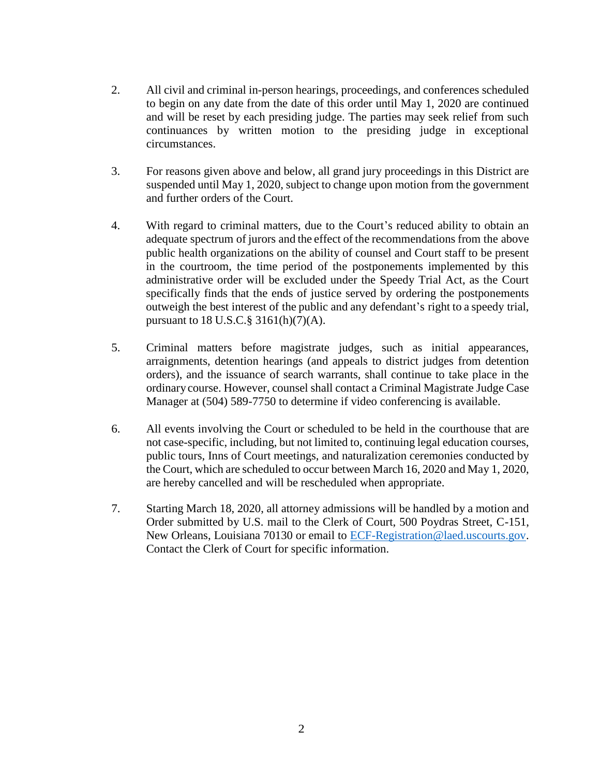- 2. All civil and criminal in-person hearings, proceedings, and conferences scheduled to begin on any date from the date of this order until May 1, 2020 are continued and will be reset by each presiding judge. The parties may seek relief from such continuances by written motion to the presiding judge in exceptional circumstances.
- 3. For reasons given above and below, all grand jury proceedings in this District are suspended until May 1, 2020, subject to change upon motion from the government and further orders of the Court.
- 4. With regard to criminal matters, due to the Court's reduced ability to obtain an adequate spectrum of jurors and the effect of the recommendations from the above public health organizations on the ability of counsel and Court staff to be present in the courtroom, the time period of the postponements implemented by this administrative order will be excluded under the Speedy Trial Act, as the Court specifically finds that the ends of justice served by ordering the postponements outweigh the best interest of the public and any defendant's right to a speedy trial, pursuant to 18 U.S.C.§ 3161(h)(7)(A).
- 5. Criminal matters before magistrate judges, such as initial appearances, arraignments, detention hearings (and appeals to district judges from detention orders), and the issuance of search warrants, shall continue to take place in the ordinarycourse. However, counsel shall contact a Criminal Magistrate Judge Case Manager at (504) 589-7750 to determine if video conferencing is available.
- 6. All events involving the Court or scheduled to be held in the courthouse that are not case-specific, including, but not limited to, continuing legal education courses, public tours, Inns of Court meetings, and naturalization ceremonies conducted by the Court, which are scheduled to occur between March 16, 2020 and May 1, 2020, are hereby cancelled and will be rescheduled when appropriate.
- 7. Starting March 18, 2020, all attorney admissions will be handled by a motion and Order submitted by U.S. mail to the Clerk of Court, 500 Poydras Street, C-151, New Orleans, Louisiana 70130 or email to ECF-Registration@laed.uscourts.gov. Contact the Clerk of Court for specific information.